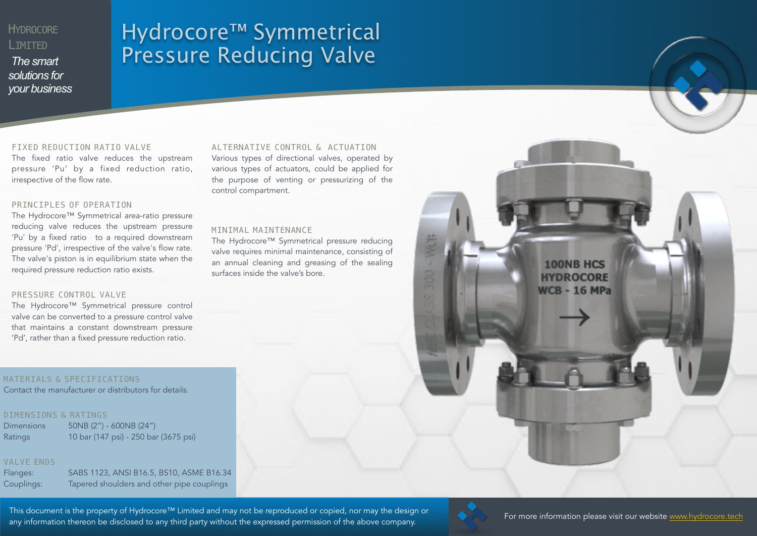# **HYDROCORE** LIMITED

*The smart solutions for your business*

# Hydrocore™ Symmetrical Pressure Reducing Valve

#### FIXED REDUCTION RATIO VALVE

The fixed ratio valve reduces the upstream pressure 'Pu' by a fixed reduction ratio, irrespective of the flow rate.

### PRINCIPLES OF OPERATION

The Hydrocore™ Symmetrical area-ratio pressure reducing valve reduces the upstream pressure 'Pu' by a fixed ratio to a required downstream pressure 'Pd', irrespective of the valve's flow rate. The valve's piston is in equilibrium state when the required pressure reduction ratio exists.

#### PRESSURE CONTROL VALVE

The Hydrocore™ Symmetrical pressure control valve can be converted to a pressure control valve that maintains a constant downstream pressure 'Pd', rather than a fixed pressure reduction ratio.

## MATERIALS & SPECIFICATIONS

Contact the manufacturer or distributors for details.

## DIMENSIONS & RATINGS

Dimensions 50NB (2") - 600NB (24") Ratings 10 bar (147 psi) - 250 bar (3675 psi)

## VALVE ENDS

Flanges: SABS 1123, ANSI B16.5, BS10, ASME B16.34 Couplings: Tapered shoulders and other pipe couplings

#### ALTERNATIVE CONTROL & ACTUATION

Various types of directional valves, operated by various types of actuators, could be applied for the purpose of venting or pressurizing of the control compartment.

#### MINIMAL MAINTENANCE

The Hydrocore™ Symmetrical pressure reducing valve requires minimal maintenance, consisting of an annual cleaning and greasing of the sealing surfaces inside the valve's bore.



This document is the property of Hydrocore™ Limited and may not be reproduced or copied, nor may the design or<br>This document is the property of Hydrocore™ Limited and may not be reproduced or copied, nor may the design or any information thereon be disclosed to any third party without the expressed permission of the above company.